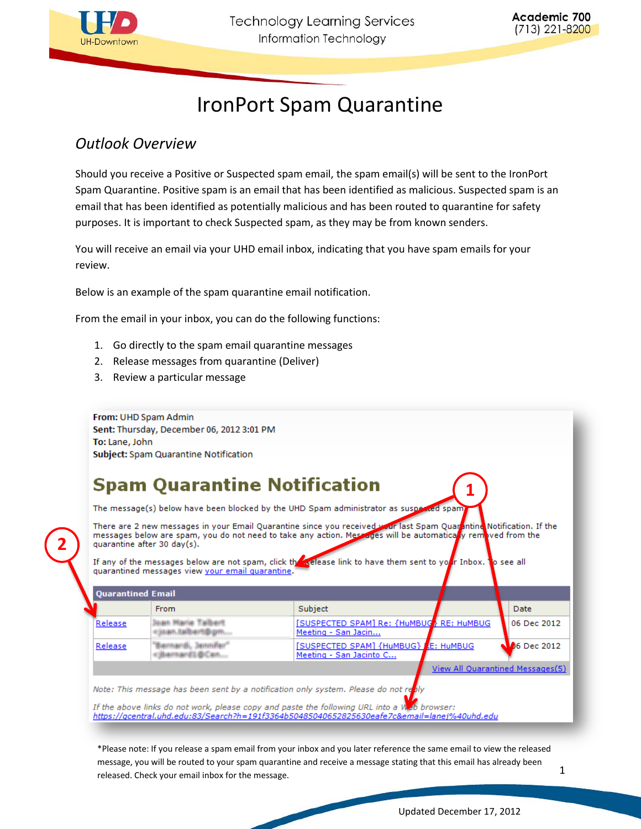

# IronPort Spam Quarantine

## *Outlook Overview*

Should you receive a Positive or Suspected spam email, the spam email(s) will be sent to the IronPort Spam Quarantine. Positive spam is an email that has been identified as malicious. Suspected spam is an email that has been identified as potentially malicious and has been routed to quarantine for safety purposes. It is important to check Suspected spam, as they may be from known senders.

You will receive an email via your UHD email inbox, indicating that you have spam emails for your review.

Below is an example of the spam quarantine email notification.

From the email in your inbox, you can do the following functions:

- 1. Go directly to the spam email quarantine messages
- 2. Release messages from quarantine (Deliver)
- 3. Review a particular message

From: UHD Spam Admin Sent: Thursday, December 06, 2012 3:01 PM To: Lane, John Subject: Spam Quarantine Notification

## **Spam Quarantine Notification**

The message(s) below have been blocked by the UHD Spam administrator as susp

There are 2 new messages in your Email Quarantine since you received wour last Spam Quar<mark>A</mark>ntine Notification. If the<br>messages below are spam, you do not need to take any action. Messages will be automatica<mark>r</mark>y removed fro quarantine after 30 day(s).

**Exclease link to have them sent to yo** see all If any of the messages below are not spam, click the r Inbox. quarantined messages view <u>your email quarantine</u>.

|         | <b>Quarantined Email</b>            |                                                                        |                                  |
|---------|-------------------------------------|------------------------------------------------------------------------|----------------------------------|
|         | <b>From</b>                         | Subject                                                                | Date                             |
| Release | an Hariz Talbart<br>itan.txibert@gm | <b>[SUSPECTED SPAM] Re: {HuMBUG} RE: HuMBUG</b><br>Meeting - San Jacin | 06 Dec 2012                      |
| Release | NOTINENES BICARL                    | <b>[SUSPECTED SPAM] {HuMBUG} E: HuMBUG</b><br>Meeting - San Jacinto C  | $\mathbf{\Omega}$ 6 Dec 2012     |
|         |                                     |                                                                        | View All Quarantined Messages(5) |

Note: This message has been sent by a notification only system. Please do not re

If the above links do not work, please copy and paste the following URL into a  $W$  b browser: https://gcentral.uhd.edu:83/Search?h=191f3364b50485040652825630eafe7c&email=lanej%40uhd.edu

\*Please note: If you release a spam email from your inbox and you later reference the same email to view the released message, you will be routed to your spam quarantine and receive a message stating that this email has already been released. Check your email inbox for the message.

**2**

**1**

1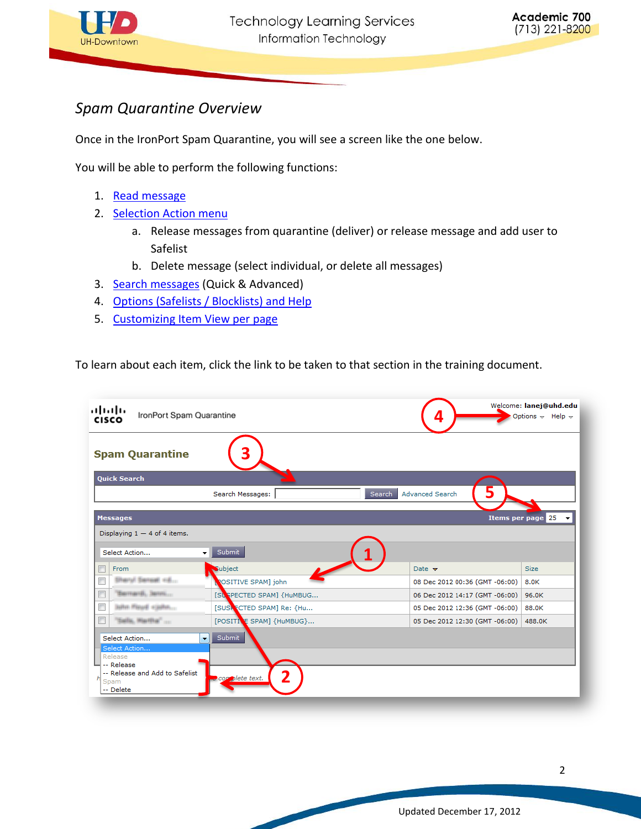

## *Spam Quarantine Overview*

Once in the IronPort Spam Quarantine, you will see a screen like the one below.

You will be able to perform the following functions:

- 1. [Read message](#page-2-0)
- 2. [Selection Action menu](#page-4-0)
	- a. Release messages from quarantine (deliver) or release message and add user to Safelist
	- b. Delete message (select individual, or delete all messages)
- 3. [Search messages](#page-5-0) (Quick & Advanced)
- 4. [Options \(Safelists / Blocklists\) and Help](#page-6-0)
- 5. [Customizing Item View per page](#page-7-0)

To learn about each item, click the link to be taken to that section in the training document.

| ախվա<br>IronPort Spam Quarantine<br><b>CISCO</b>                                                                                           |                               |                                  | Welcome: lanej@uhd.edu<br>Options $\div$ Help $\div$ |
|--------------------------------------------------------------------------------------------------------------------------------------------|-------------------------------|----------------------------------|------------------------------------------------------|
| <b>Spam Quarantine</b>                                                                                                                     |                               |                                  |                                                      |
| <b>Quick Search</b>                                                                                                                        |                               |                                  |                                                      |
|                                                                                                                                            | Search Messages:              | <b>Advanced Search</b><br>Search |                                                      |
| <b>Messages</b>                                                                                                                            |                               |                                  | <b>Items per page 25</b>                             |
| Displaying $1 - 4$ of 4 items.                                                                                                             |                               |                                  |                                                      |
| Select Action<br>$\overline{\phantom{a}}$                                                                                                  | Submit                        |                                  |                                                      |
| From                                                                                                                                       | Subject                       | Date $\blacktriangledown$        | <b>Size</b>                                          |
| Sharyl Senset <6                                                                                                                           | ROSITIVE SPAM] john           | 08 Dec 2012 00:36 (GMT -06:00)   | 8.0K                                                 |
| Sementi, Jermi                                                                                                                             | [SUSPECTED SPAM] {HuMBUG      | 06 Dec 2012 14:17 (GMT -06:00)   | 96.0K                                                |
| $\blacksquare$<br><b>John Heud +john</b>                                                                                                   | [SUSK CTED SPAM] Re: {Hu      | 05 Dec 2012 12:36 (GMT -06:00)   | 88.0K                                                |
| $\Box$<br>Salls, Martha"                                                                                                                   | [POSITIVE SPAM] {HuMBUG}      | 05 Dec 2012 12:30 (GMT -06:00)   | 488.0K                                               |
| Select Action<br>$\overline{\phantom{a}}$<br>Select Action<br>Release<br>-- Release<br>-- Release and Add to Safelist<br>Spam<br>-- Delete | Submit<br>2<br>complete text. |                                  |                                                      |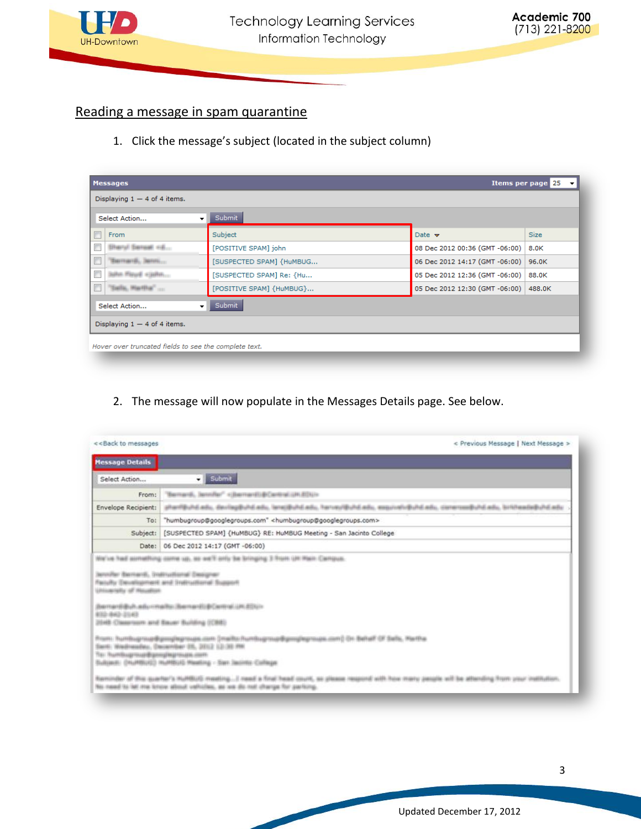

## <span id="page-2-0"></span>Reading a message in spam quarantine

1. Click the message's subject (located in the subject column)

| Select Action                  | Submit<br>۰              |                                |             |
|--------------------------------|--------------------------|--------------------------------|-------------|
| From                           | Subject                  | Date $\rightarrow$             | <b>Size</b> |
| lary) Saraat cd                | [POSITIVE SPAM] john     | 08 Dec 2012 00:36 (GMT -06:00) | 8.0K        |
| Sacregordi, Service.           | [SUSPECTED SPAM] {HuMBUG | 06 Dec 2012 14:17 (GMT -06:00) | 96.0K       |
|                                | [SUSPECTED SPAM] Re: {Hu | 05 Dec 2012 12:36 (GMT -06:00) | 88.0K       |
| sails, Martha                  | [POSITIVE SPAM] {HuMBUG} | 05 Dec 2012 12:30 (GMT -06:00) | 488.0K      |
| Select Action                  | Submit<br>۰              |                                |             |
| Displaying $1 - 4$ of 4 items. |                          |                                |             |

#### 2. The message will now populate in the Messages Details page. See below.

| << Back to messages                                                                                                                                   | < Previous Message   Next Message >                                                                                                                  |  |  |
|-------------------------------------------------------------------------------------------------------------------------------------------------------|------------------------------------------------------------------------------------------------------------------------------------------------------|--|--|
| <b>Message Details</b>                                                                                                                                |                                                                                                                                                      |  |  |
| Select Action                                                                                                                                         | Submit                                                                                                                                               |  |  |
| From:                                                                                                                                                 | "Bernardi, Jennifer" <jbernardid(central 83ux<="" th="" un=""></jbernardid(central>                                                                  |  |  |
| ஏர்னாஜெப்வி கவிட, விலர்தழ்தியிலிகம், நாவுஜியிலிகவிட, ரினமதாஜியிலிகவிட, கையப்புலியில்கிய, வெளமணதியிலிகவிட நாங்கேவிலதியிலிக்கவிட<br>Envelope Recipient: |                                                                                                                                                      |  |  |
| "humbugroup@googlegroups.com" <humbugroup@googlegroups.com><br/>To:</humbugroup@googlegroups.com>                                                     |                                                                                                                                                      |  |  |
| Subject:<br>[SUSPECTED SPAM] {HuMBUG} RE: HuMBUG Meeting - San Jacinto College                                                                        |                                                                                                                                                      |  |  |
|                                                                                                                                                       | Date: 06 Dec 2012 14:17 (GMT -06:00)                                                                                                                 |  |  |
| Jero/Ar Bernardi, Indinational Designer<br>UNIVARIABLE OF Miscollism<br>432-843-2143                                                                  | Faculty (beuslopment and Indiructional Support<br>Bernard Buh advirtially Bernard (@Carlind UR 40U) in<br>2048 Classroom and Bauer Building (CBE)    |  |  |
| Та: humbupmup@gonglepmaps.com<br>Sultimet: (HuMBUG) HuMBUG Heating - San Jacons College                                                               | ծառ։ Խա <del>ռնաբայցեքույնպույլու, առ</del> (ոսմե Auntugnujdgmyberwas.com) էր Ֆենք է Sels, Metha<br>Earth: WoodmassNey, Decarribar 25, 2012 12:30 PM |  |  |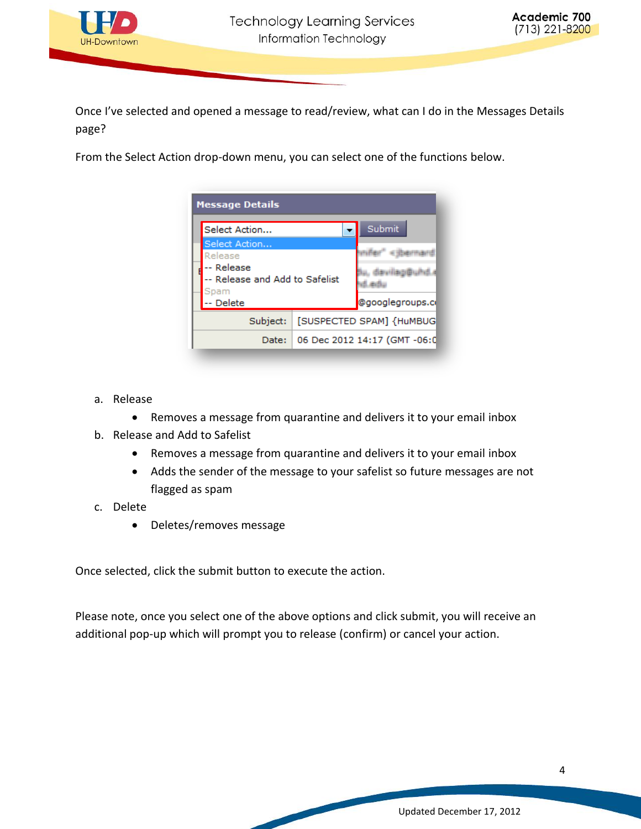

Once I've selected and opened a message to read/review, what can I do in the Messages Details page?

From the Select Action drop-down menu, you can select one of the functions below.



- a. Release
	- Removes a message from quarantine and delivers it to your email inbox
- b. Release and Add to Safelist
	- Removes a message from quarantine and delivers it to your email inbox
	- Adds the sender of the message to your safelist so future messages are not flagged as spam
- c. Delete
	- Deletes/removes message

Once selected, click the submit button to execute the action.

Please note, once you select one of the above options and click submit, you will receive an additional pop-up which will prompt you to release (confirm) or cancel your action.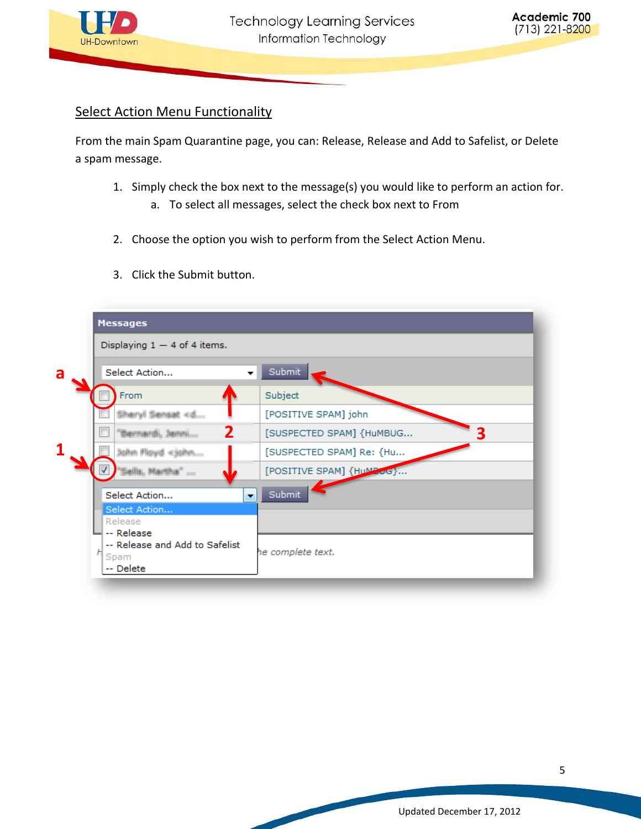

### <span id="page-4-0"></span>Select Action Menu Functionality

From the main Spam Quarantine page, you can: Release, Release and Add to Safelist, or Delete a spam message.

- 1. Simply check the box next to the message(s) you would like to perform an action for.
	- a. To select all messages, select the check box next to From
- 2. Choose the option you wish to perform from the Select Action Menu.
- 3. Click the Submit button.

| Displaying $1 - 4$ of 4 items.                                    |                               |
|-------------------------------------------------------------------|-------------------------------|
| Select Action                                                     | Submit                        |
| From                                                              | Subject                       |
| Sheryl Sensat <d< td=""><td>[POSITIVE SPAM] john</td></d<>        | [POSITIVE SPAM] john          |
| $\mathbf 2$<br>'Bernardi, Jenni                                   | 3<br>[SUSPECTED SPAM] {HuMBUG |
| John Floyd <john< td=""><td>[SUSPECTED SPAM] Re: {Hu</td></john<> | [SUSPECTED SPAM] Re: {Hu      |
| 'Sells, Martha"                                                   | [POSITIVE SPAM] {HuMBoG}      |
| Select Action<br>$\overline{\phantom{a}}$                         | Submit                        |
| Select Action                                                     |                               |
| Release<br>-- Release                                             |                               |
| -- Release and Add to Safelist<br>Spam<br>-- Delete               | he complete text.             |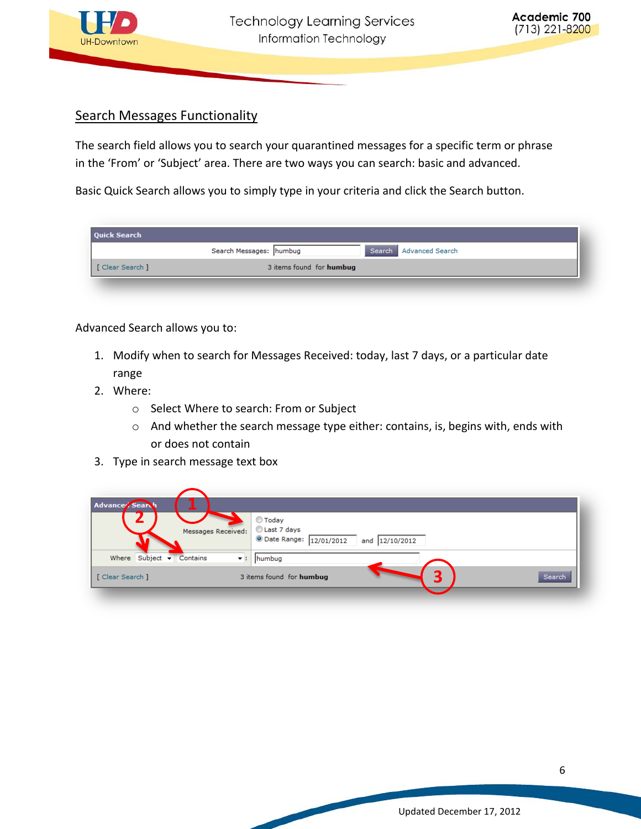

#### <span id="page-5-0"></span>Search Messages Functionality

The search field allows you to search your quarantined messages for a specific term or phrase in the 'From' or 'Subject' area. There are two ways you can search: basic and advanced.

Basic Quick Search allows you to simply type in your criteria and click the Search button.

| <b>Quick Search</b> |                                                   |  |
|---------------------|---------------------------------------------------|--|
|                     | Search Messages: humbug<br>Search Advanced Search |  |
| [ Clear Search ]    | 3 items found for humbug                          |  |

Advanced Search allows you to:

- 1. Modify when to search for Messages Received: today, last 7 days, or a particular date range
- 2. Where:
	- o Select Where to search: From or Subject
	- o And whether the search message type either: contains, is, begins with, ends with or does not contain
- 3. Type in search message text box

| ◎ Today<br>Last 7 days<br>Messages Received:<br><b>O</b> Date Range: 12/01/2012<br>12/10/2012<br>and<br>Where Subject $\blacktriangleright$<br>Contains<br>humbug<br>₩.<br>Search<br>3 items found for humbug | Advance Search   |  |
|---------------------------------------------------------------------------------------------------------------------------------------------------------------------------------------------------------------|------------------|--|
|                                                                                                                                                                                                               |                  |  |
|                                                                                                                                                                                                               |                  |  |
|                                                                                                                                                                                                               | [ Clear Search ] |  |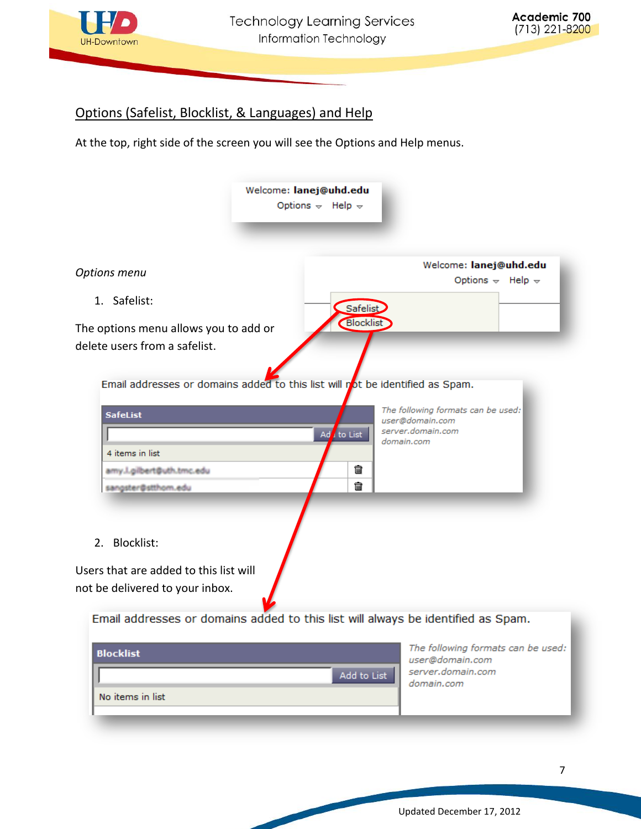

#### <span id="page-6-0"></span>Options (Safelist, Blocklist, & Languages) and Help

At the top, right side of the screen you will see the Options and Help menus.